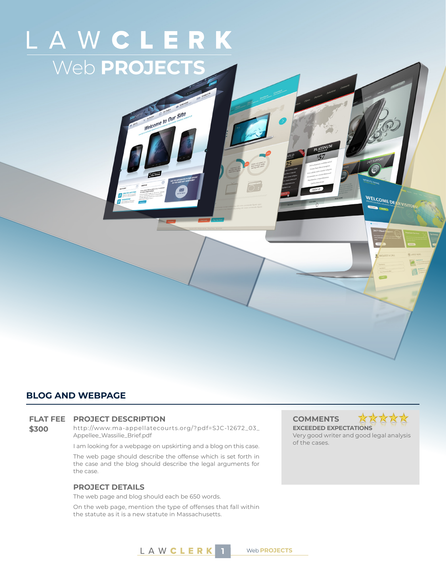# LAWCLERK Web **PROJECTS**

Welcome to Our Site

# **BLOG AND WEBPAGE**

# **FLAT FEE PROJECT DESCRIPTION COMMENTS**

**\$300** http://www.ma-appellatecourts.org/?pdf=SJC-12672\_03\_ Appellee\_Wassilie\_Brief.pdf

I am looking for a webpage on upskirting and a blog on this case.

The web page should describe the offense which is set forth in the case and the blog should describe the legal arguments for the case.

# **PROJECT DETAILS**

The web page and blog should each be 650 words.

On the web page, mention the type of offenses that fall within the statute as it is a new statute in Massachusetts.



WELCOME DEA

**EXCEEDED EXPECTATIONS** Very good writer and good legal analysis of the cases.



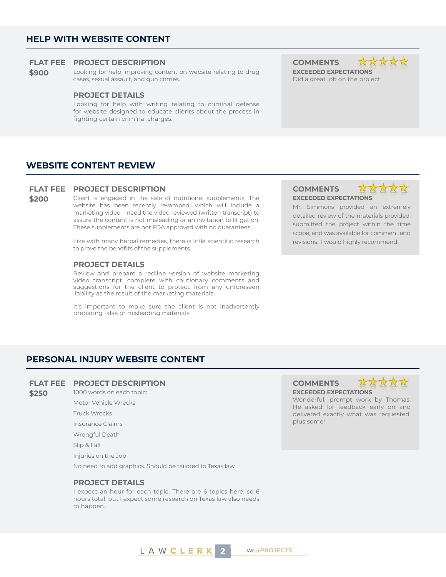# **HELP WITH WEBSITE CONTENT**

# **FLAT FEE PROJECT DESCRIPTION COMMENTS**

**\$900** Looking for help improving content on website relating to drug cases, sexual assault, and gun crimes.

# **PROJECT DETAILS**

Looking for help with writing relating to criminal defense for website designed to educate clients about the process in fighting certain criminal charges.

**EXCEEDED EXPECTATIONS**



Did a great job on the project.

# **WEBSITE CONTENT REVIEW**

#### **FLAT FEE PROJECT DESCRIPTION COMMENTS**

**\$200** Client is engaged in the sale of nutritional supplements. The website has been recently revamped, which will include a marketing video. I need the video reviewed (written transcript) to assure the content is not misleading or an invitation to litigation. These supplements are not FDA approved with no guarantees.

> Like with many herbal remedies, there is little scientific research to prove the benefits of the supplements.

### **PROJECT DETAILS**

Review and prepare a redline version of website marketing video transcript, complete with cautionary comments and suggestions for the client to protect from any unforeseen liability as the result of the marketing materials.

It's important to make sure the client is not inadvertently preparing false or misleading materials.

# **EXCEEDED EXPECTATIONS**



Mr. Simmons provided an extremely detailed review of the materials provided, submitted the project within the time scope, and was available for comment and revisions. I would highly recommend.

# **PERSONAL INJURY WEBSITE CONTENT**

# **FLAT FEE PROJECT DESCRIPTION COMMENTS**

- **\$250** 1000 words on each topic:
	- Motor Vehicle Wrecks
	- Truck Wrecks
	- Insurance Claims
	- Wrongful Death

Slip & Fall

Injuries on the Job

No need to add graphics. Should be tailored to Texas law.

# **PROJECT DETAILS**

I expect an hour for each topic. There are 6 topics here, so 6 hours total, but I expect some research on Texas law also needs to happen.

# **EXCEEDED EXPECTATIONS**



Wonderful, prompt work by Thomas. He asked for feedback early on and delivered exactly what was requested, plus some!

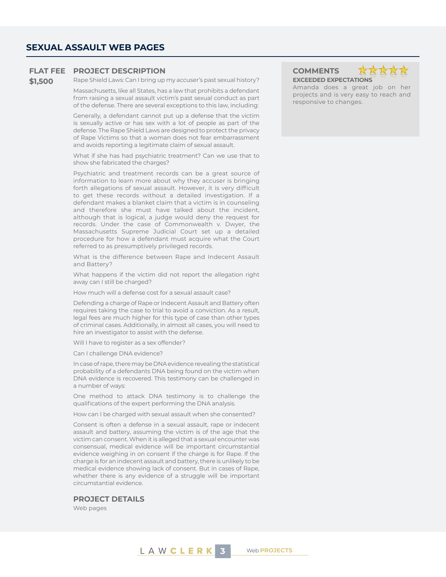# **FLAT FEE PROJECT DESCRIPTION COMMENTS**

**\$1,500** Rape Shield Laws: Can I bring up my accuser's past sexual history?

Massachusetts, like all States, has a law that prohibits a defendant from raising a sexual assault victim's past sexual conduct as part of the defense. There are several exceptions to this law, including:

Generally, a defendant cannot put up a defense that the victim is sexually active or has sex with a lot of people as part of the defense. The Rape Shield Laws are designed to protect the privacy of Rape Victims so that a woman does not fear embarrassment and avoids reporting a legitimate claim of sexual assault.

What if she has had psychiatric treatment? Can we use that to show she fabricated the charges?

Psychiatric and treatment records can be a great source of information to learn more about why they accuser is bringing forth allegations of sexual assault. However, it is very difficult to get these records without a detailed investigation. If a defendant makes a blanket claim that a victim is in counseling and therefore she must have talked about the incident, although that is logical, a judge would deny the request for records. Under the case of Commonwealth v. Dwyer, the Massachusetts Supreme Judicial Court set up a detailed procedure for how a defendant must acquire what the Court referred to as presumptively privileged records.

What is the difference between Rape and Indecent Assault and Battery?

What happens if the victim did not report the allegation right away can I still be charged?

How much will a defense cost for a sexual assault case?

Defending a charge of Rape or Indecent Assault and Battery often requires taking the case to trial to avoid a conviction. As a result, legal fees are much higher for this type of case than other types of criminal cases. Additionally, in almost all cases, you will need to hire an investigator to assist with the defense.

Will I have to register as a sex offender?

Can I challenge DNA evidence?

In case of rape, there may be DNA evidence revealing the statistical probability of a defendants DNA being found on the victim when DNA evidence is recovered. This testimony can be challenged in a number of ways:

One method to attack DNA testimony is to challenge the qualifications of the expert performing the DNA analysis.

How can I be charged with sexual assault when she consented?

Consent is often a defense in a sexual assault, rape or indecent assault and battery, assuming the victim is of the age that the victim can consent. When it is alleged that a sexual encounter was consensual, medical evidence will be important circumstantial evidence weighing in on consent if the charge is for Rape. If the charge is for an indecent assault and battery, there is unlikely to be medical evidence showing lack of consent. But in cases of Rape, whether there is any evidence of a struggle will be important circumstantial evidence.

# **PROJECT DETAILS**

Web pages





Amanda does a great job on her projects and is very easy to reach and responsive to changes.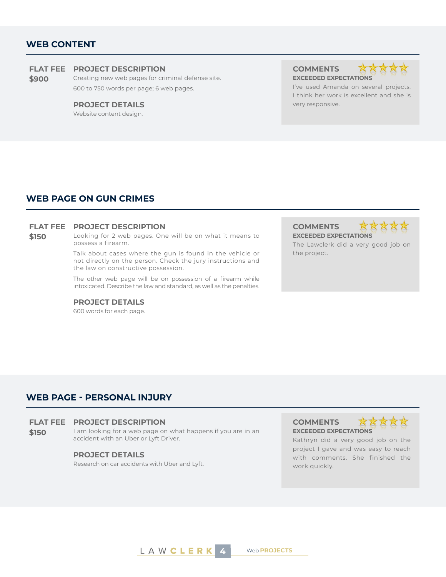# **WEB CONTENT**

# **FLAT FEE PROJECT DESCRIPTION COMMENTS**

**\$900** Creating new web pages for criminal defense site. 600 to 750 words per page; 6 web pages.

### **PROJECT DETAILS Example 20 and 20 and 20 and 20 and 20 and 20 and 20 and 20 and 20 and 20 and 20 and 20 and 20 and 20 and 20 and 20 and 20 and 20 and 20 and 20 and 20 and 20 and 20 and 20 and 20 and 20 and 20 and 20 and**

Website content design.

**EXCEEDED EXPECTATIONS**



I've used Amanda on several projects. I think her work is excellent and she is

# **WEB PAGE ON GUN CRIMES**

# **FLAT FEE PROJECT DESCRIPTION COMMENTS**

**\$150** Looking for 2 web pages. One will be on what it means to possess a firearm.

> Talk about cases where the gun is found in the vehicle or not directly on the person. Check the jury instructions and the law on constructive possession.

> The other web page will be on possession of a firearm while intoxicated. Describe the law and standard, as well as the penalties.

# **PROJECT DETAILS**

600 words for each page.

**EXCEEDED EXPECTATIONS**

\*\*\*\*\*

The Lawclerk did a very good job on the project.

# **WEB PAGE - PERSONAL INJURY**

### **FLAT FEE PROJECT DESCRIPTION COMMENTS**

**\$150** I am looking for a web page on what happens if you are in an accident with an Uber or Lyft Driver.

# **PROJECT DETAILS**

Research on car accidents with Uber and Lyft.

**EXCEEDED EXPECTATIONS**



Kathryn did a very good job on the project I gave and was easy to reach with comments. She finished the work quickly.